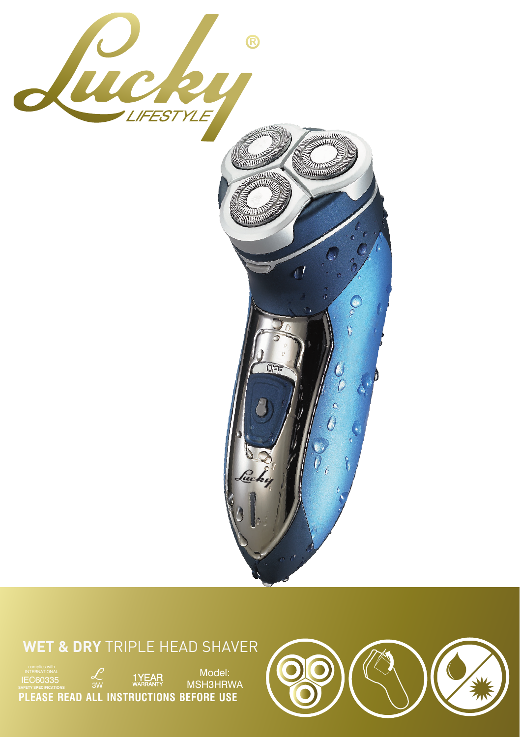

## **WET & DRY** TRIPLE HEAD SHAVER

Model:<br>MSH3HRWA 3W <sup>WARRANTY</sup> MSH3HRWA complies with INTERNATIONAL IEC60335 **SAFETY SPECIFICATIONS PLEASE READ ALL INSTRUCTIONS BEFORE USE**

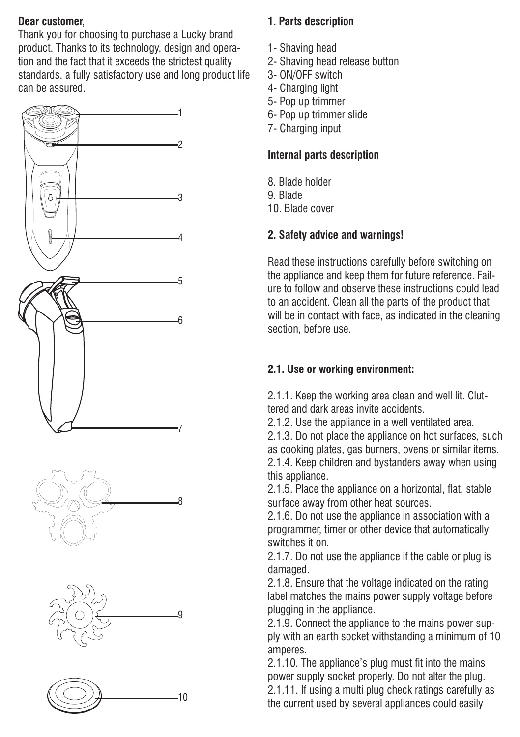#### **Dear customer,**

Thank you for choosing to purchase a Lucky brand product. Thanks to its technology, design and operation and the fact that it exceeds the strictest quality standards, a fully satisfactory use and long product life can be assured.



#### **1. Parts description**

- 1- Shaving head
- 2- Shaving head release button
- 3- ON/OFF switch
- 4- Charging light
- 5- Pop up trimmer
- 6- Pop up trimmer slide
- 7- Charging input

#### **Internal parts description**

- 8. Blade holder
- 9. Blade
- 10. Blade cover

### **2. Safety advice and warnings!**

Read these instructions carefully before switching on the appliance and keep them for future reference. Failure to follow and observe these instructions could lead to an accident. Clean all the parts of the product that will be in contact with face, as indicated in the cleaning section, before use.

### **2.1. Use or working environment:**

2.1.1. Keep the working area clean and well lit. Cluttered and dark areas invite accidents.

2.1.2. Use the appliance in a well ventilated area.

2.1.3. Do not place the appliance on hot surfaces, such as cooking plates, gas burners, ovens or similar items. 2.1.4. Keep children and bystanders away when using this appliance.

2.1.5. Place the appliance on a horizontal, flat, stable surface away from other heat sources.

2.1.6. Do not use the appliance in association with a programmer, timer or other device that automatically switches it on.

2.1.7. Do not use the appliance if the cable or plug is damaged.

2.1.8. Ensure that the voltage indicated on the rating label matches the mains power supply voltage before plugging in the appliance.

2.1.9. Connect the appliance to the mains power supply with an earth socket withstanding a minimum of 10 amperes.

2.1.10. The appliance's plug must fit into the mains power supply socket properly. Do not alter the plug. 2.1.11. If using a multi plug check ratings carefully as the current used by several appliances could easily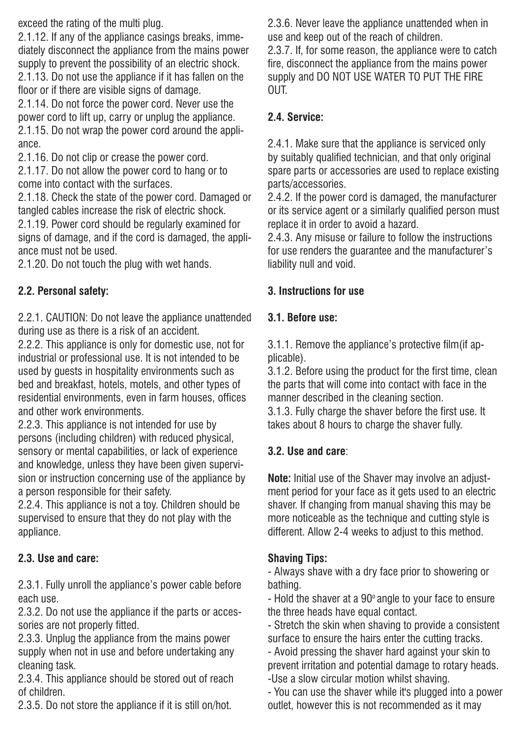exceed the rating of the multi plug.

2.1.12. If any of the appliance casings breaks, immediately disconnect the appliance from the mains power supply to prevent the possibility of an electric shock. 2.1.13. Do not use the appliance if it has fallen on the

floor or if there are visible signs of damage.

2.1.14. Do not force the power cord. Never use the power cord to lift up, carry or unplug the appliance. 2.1.15. Do not wrap the power cord around the appliance.

2.1.16. Do not clip or crease the power cord.

2.1.17. Do not allow the power cord to hang or to come into contact with the surfaces.

2.1.18. Check the state of the power cord. Damaged or tangled cables increase the risk of electric shock.

2.1.19. Power cord should be regularly examined for signs of damage, and if the cord is damaged, the appliance must not be used.

2.1.20. Do not touch the plug with wet hands.

#### **2.2. Personal safety:**

2.2.1. CAUTION: Do not leave the appliance unattended during use as there is a risk of an accident.

2.2.2. This appliance is only for domestic use, not for industrial or professional use. It is not intended to be used by guests in hospitality environments such as bed and breakfast, hotels, motels, and other types of residential environments, even in farm houses, offices and other work environments.

2.2.3. This appliance is not intended for use by persons (including children) with reduced physical, sensory or mental capabilities, or lack of experience and knowledge, unless they have been given supervision or instruction concerning use of the appliance by a person responsible for their safety.

2.2.4. This appliance is not a toy. Children should be supervised to ensure that they do not play with the appliance.

#### **2.3. Use and care:**

2.3.1. Fully unroll the appliance's power cable before each use.

2.3.2. Do not use the appliance if the parts or accessories are not properly fitted.

2.3.3. Unplug the appliance from the mains power supply when not in use and before undertaking any cleaning task.

2.3.4. This appliance should be stored out of reach of children.

2.3.5. Do not store the appliance if it is still on/hot.

2.3.6. Never leave the appliance unattended when in use and keep out of the reach of children.

2.3.7. If, for some reason, the appliance were to catch fire, disconnect the appliance from the mains power supply and DO NOT USE WATER TO PUT THE FIRE OUT.

#### **2.4. Service:**

2.4.1. Make sure that the appliance is serviced only by suitably qualified technician, and that only original spare parts or accessories are used to replace existing parts/accessories.

2.4.2. If the power cord is damaged, the manufacturer or its service agent or a similarly qualified person must replace it in order to avoid a hazard.

2.4.3. Any misuse or failure to follow the instructions for use renders the guarantee and the manufacturer's liability null and void.

#### **3. Instructions for use**

#### **3.1. Before use:**

3.1.1. Remove the appliance's protective film(if applicable).

3.1.2. Before using the product for the first time, clean the parts that will come into contact with face in the manner described in the cleaning section.

3.1.3. Fully charge the shaver before the first use. It takes about 8 hours to charge the shaver fully.

#### **3.2. Use and care**:

**Note:** Initial use of the Shaver may involve an adjustment period for your face as it gets used to an electric shaver. If changing from manual shaving this may be more noticeable as the technique and cutting style is different. Allow 2-4 weeks to adjust to this method.

#### **Shaving Tips:**

- Always shave with a dry face prior to showering or bathing.

- Hold the shaver at a 90° angle to your face to ensure the three heads have equal contact.

- Stretch the skin when shaving to provide a consistent surface to ensure the hairs enter the cutting tracks.

- Avoid pressing the shaver hard against your skin to prevent irritation and potential damage to rotary heads. -Use a slow circular motion whilst shaving.

- You can use the shaver while it's plugged into a power outlet, however this is not recommended as it may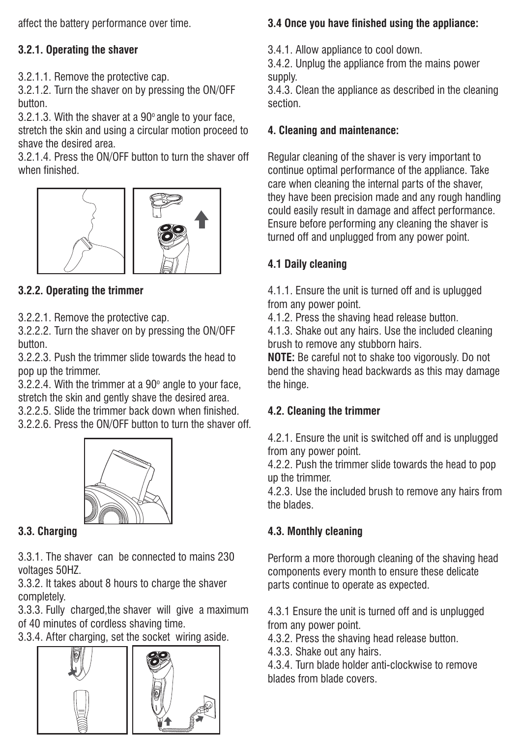affect the battery performance over time.

#### **3.2.1. Operating the shaver**

3.2.1.1. Remove the protective cap.

3.2.1.2. Turn the shaver on by pressing the ON/OFF button.

3.2.1.3. With the shaver at a  $90^\circ$  angle to your face, stretch the skin and using a circular motion proceed to shave the desired area.

3.2.1.4. Press the ON/OFF button to turn the shaver off when finished.



#### **3.2.2. Operating the trimmer**

3.2.2.1. Remove the protective cap.

3.2.2.2. Turn the shaver on by pressing the ON/OFF button.

3.2.2.3. Push the trimmer slide towards the head to pop up the trimmer.

 $3.2.2.4$ . With the trimmer at a  $90^\circ$  angle to your face, stretch the skin and gently shave the desired area.

3.2.2.5. Slide the trimmer back down when finished.

3.2.2.6. Press the ON/OFF button to turn the shaver off.



#### **3.3. Charging**

3.3.1. The shaver can be connected to mains 230 voltages 50HZ.

3.3.2. It takes about 8 hours to charge the shaver completely.

3.3.3. Fully charged,the shaver will give a maximum of 40 minutes of cordless shaving time.

3.3.4. After charging, set the socket wiring aside.



#### **3.4 Once you have finished using the appliance:**

3.4.1. Allow appliance to cool down.

3.4.2. Unplug the appliance from the mains power supply.

3.4.3. Clean the appliance as described in the cleaning section.

#### **4. Cleaning and maintenance:**

Regular cleaning of the shaver is very important to continue optimal performance of the appliance. Take care when cleaning the internal parts of the shaver, they have been precision made and any rough handling could easily result in damage and affect performance. Ensure before performing any cleaning the shaver is turned off and unplugged from any power point.

#### **4.1 Daily cleaning**

4.1.1. Ensure the unit is turned off and is uplugged from any power point.

4.1.2. Press the shaving head release button.

4.1.3. Shake out any hairs. Use the included cleaning brush to remove any stubborn hairs.

**NOTE:** Be careful not to shake too vigorously. Do not bend the shaving head backwards as this may damage the hinge.

#### **4.2. Cleaning the trimmer**

4.2.1. Ensure the unit is switched off and is unplugged from any power point.

4.2.2. Push the trimmer slide towards the head to pop up the trimmer.

4.2.3. Use the included brush to remove any hairs from the blades.

#### **4.3. Monthly cleaning**

Perform a more thorough cleaning of the shaving head components every month to ensure these delicate parts continue to operate as expected.

4.3.1 Ensure the unit is turned off and is unplugged from any power point.

4.3.2. Press the shaving head release button.

4.3.3. Shake out any hairs.

4.3.4. Turn blade holder anti-clockwise to remove blades from blade covers.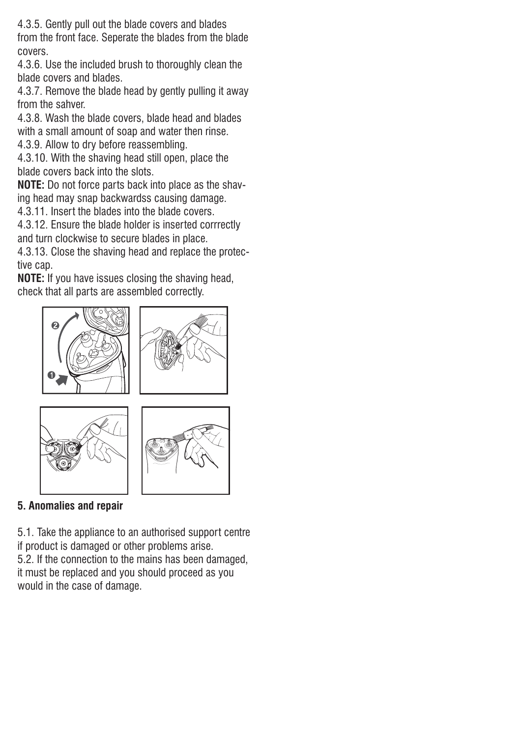4.3.5. Gently pull out the blade covers and blades from the front face. Seperate the blades from the blade covers.

4.3.6. Use the included brush to thoroughly clean the blade covers and blades.

4.3.7. Remove the blade head by gently pulling it away from the sahver.

4.3.8. Wash the blade covers, blade head and blades

with a small amount of soap and water then rinse.

4.3.9. Allow to dry before reassembling.

4.3.10. With the shaving head still open, place the blade covers back into the slots.

**NOTE:** Do not force parts back into place as the shaving head may snap backwardss causing damage.

4.3.11. Insert the blades into the blade covers.

4.3.12. Ensure the blade holder is inserted corrrectly and turn clockwise to secure blades in place.

4.3.13. Close the shaving head and replace the protective cap.

**NOTE:** If you have issues closing the shaving head, check that all parts are assembled correctly.



**5. Anomalies and repair**

5.1. Take the appliance to an authorised support centre if product is damaged or other problems arise.

5.2. If the connection to the mains has been damaged, it must be replaced and you should proceed as you would in the case of damage.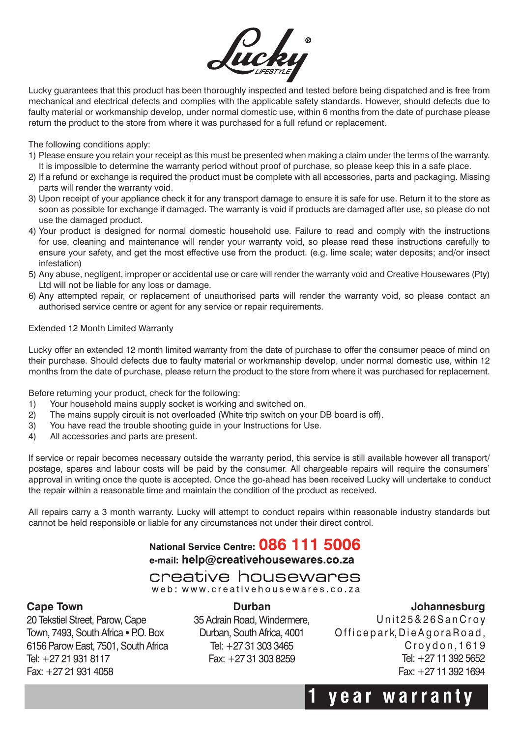

Lucky guarantees that this product has been thoroughly inspected and tested before being dispatched and is free from mechanical and electrical defects and complies with the applicable safety standards. However, should defects due to faulty material or workmanship develop, under normal domestic use, within 6 months from the date of purchase please return the product to the store from where it was purchased for a full refund or replacement.

The following conditions apply:

- 1) Please ensure you retain your receipt as this must be presented when making a claim under the terms of the warranty. It is impossible to determine the warranty period without proof of purchase, so please keep this in a safe place.
- 2) If a refund or exchange is required the product must be complete with all accessories, parts and packaging. Missing parts will render the warranty void.
- 3) Upon receipt of your appliance check it for any transport damage to ensure it is safe for use. Return it to the store as soon as possible for exchange if damaged. The warranty is void if products are damaged after use, so please do not use the damaged product.
- 4) Your product is designed for normal domestic household use. Failure to read and comply with the instructions for use, cleaning and maintenance will render your warranty void, so please read these instructions carefully to ensure your safety, and get the most effective use from the product. (e.g. lime scale; water deposits; and/or insect infestation)
- 5) Any abuse, negligent, improper or accidental use or care will render the warranty void and Creative Housewares (Pty) Ltd will not be liable for any loss or damage.
- 6) Any attempted repair, or replacement of unauthorised parts will render the warranty void, so please contact an authorised service centre or agent for any service or repair requirements.

#### Extended 12 Month Limited Warranty

Lucky offer an extended 12 month limited warranty from the date of purchase to offer the consumer peace of mind on their purchase. Should defects due to faulty material or workmanship develop, under normal domestic use, within 12 months from the date of purchase, please return the product to the store from where it was purchased for replacement.

Before returning your product, check for the following:

- 1) Your household mains supply socket is working and switched on.
- 2) The mains supply circuit is not overloaded (White trip switch on your DB board is off).
- 3) You have read the trouble shooting guide in your Instructions for Use.
- 4) All accessories and parts are present.

If service or repair becomes necessary outside the warranty period, this service is still available however all transport/ postage, spares and labour costs will be paid by the consumer. All chargeable repairs will require the consumers' approval in writing once the quote is accepted. Once the go-ahead has been received Lucky will undertake to conduct the repair within a reasonable time and maintain the condition of the product as received.

All repairs carry a 3 month warranty. Lucky will attempt to conduct repairs within reasonable industry standards but cannot be held responsible or liable for any circumstances not under their direct control.

> National Service Centre: 086 111 5006 e-mail: help@creativehousewares.co.za

### creative housewares

web: www.creativehousewares.co.za **Durban** 

#### **Cape Town**

20 Tekstiel Street, Parow, Cape Town, 7493, South Africa • P.O. Box 6156 Parow East, 7501, South Africa Tel: +27 21 931 8117 Fax: +27 21 931 4058

35 Adrain Road, Windermere, Durban, South Africa, 4001 Tel: +27 31 303 3465 Fax: +27 31 303 8259

#### **Johannesburg**

Unit 25 & 26 San Crov Officepark, Die Agora Road, Croydon, 1619 Tel: +27 11 392 5652 Fax: +27 11 392 1694

# **1 year warrant y**